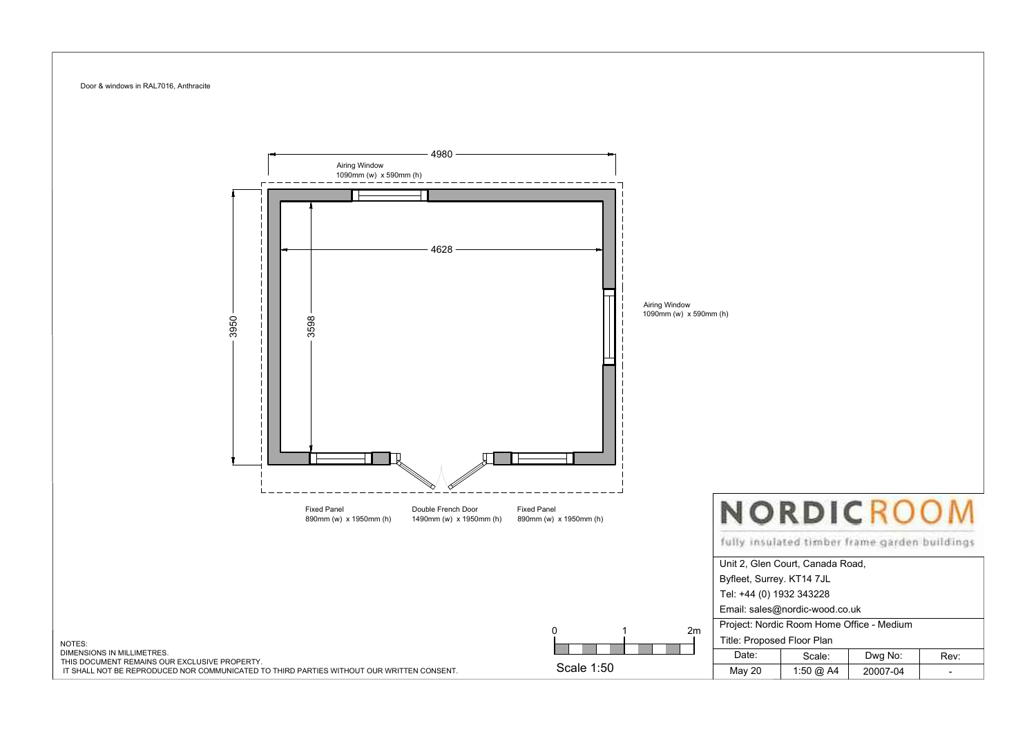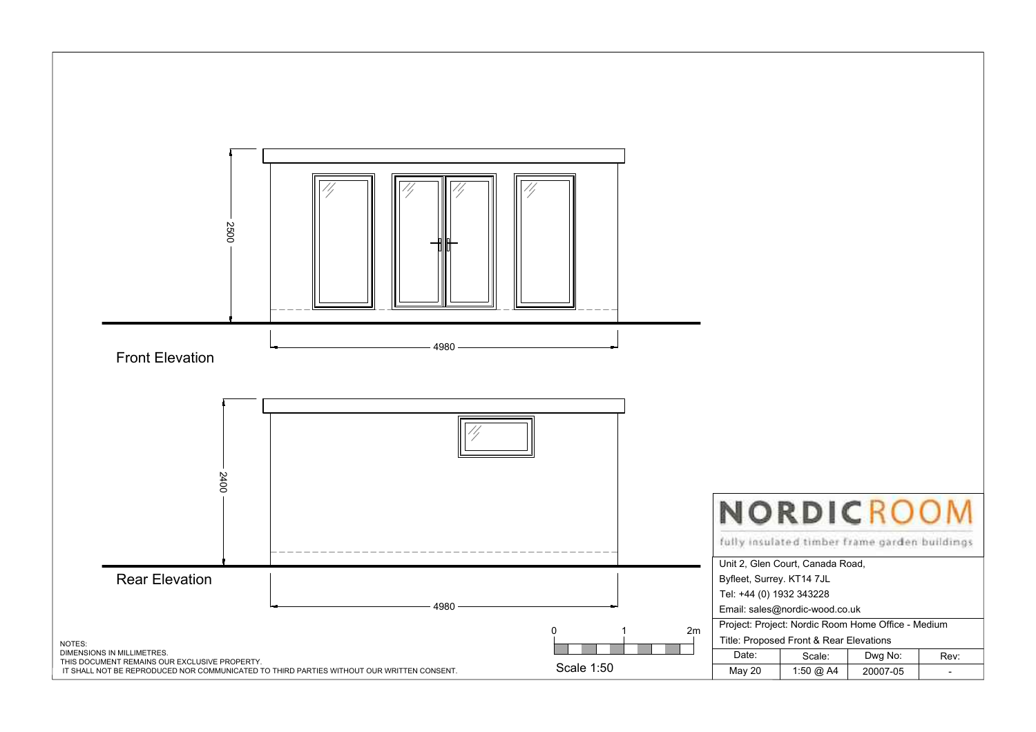